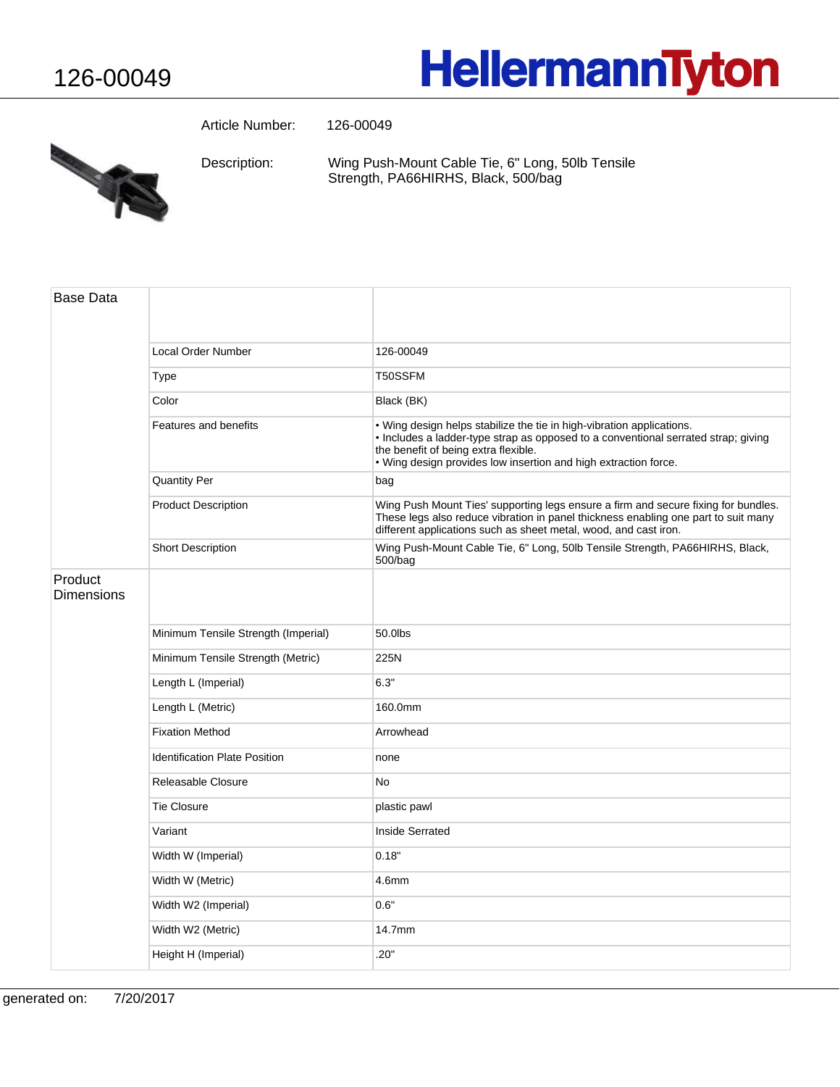## HellermannTyton



Article Number: 126-00049

Wing Push-Mount Cable Tie, 6" Long, 50lb Tensile Strength, PA66HIRHS, Black, 500/bag Description:

| <b>Base Data</b>             |                                      |                                                                                                                                                                                                                                                                        |
|------------------------------|--------------------------------------|------------------------------------------------------------------------------------------------------------------------------------------------------------------------------------------------------------------------------------------------------------------------|
|                              | Local Order Number                   | 126-00049                                                                                                                                                                                                                                                              |
|                              | <b>Type</b>                          | T50SSFM                                                                                                                                                                                                                                                                |
|                              | Color                                | Black (BK)                                                                                                                                                                                                                                                             |
|                              | Features and benefits                | . Wing design helps stabilize the tie in high-vibration applications.<br>· Includes a ladder-type strap as opposed to a conventional serrated strap; giving<br>the benefit of being extra flexible.<br>. Wing design provides low insertion and high extraction force. |
|                              | <b>Quantity Per</b>                  | bag                                                                                                                                                                                                                                                                    |
|                              | <b>Product Description</b>           | Wing Push Mount Ties' supporting legs ensure a firm and secure fixing for bundles.<br>These legs also reduce vibration in panel thickness enabling one part to suit many<br>different applications such as sheet metal, wood, and cast iron.                           |
|                              | Short Description                    | Wing Push-Mount Cable Tie, 6" Long, 50lb Tensile Strength, PA66HIRHS, Black,<br>500/bag                                                                                                                                                                                |
| Product<br><b>Dimensions</b> |                                      |                                                                                                                                                                                                                                                                        |
|                              | Minimum Tensile Strength (Imperial)  | 50.0lbs                                                                                                                                                                                                                                                                |
|                              | Minimum Tensile Strength (Metric)    | 225N                                                                                                                                                                                                                                                                   |
|                              | Length L (Imperial)                  | 6.3"                                                                                                                                                                                                                                                                   |
|                              | Length L (Metric)                    | 160.0mm                                                                                                                                                                                                                                                                |
|                              | <b>Fixation Method</b>               | Arrowhead                                                                                                                                                                                                                                                              |
|                              | <b>Identification Plate Position</b> | none                                                                                                                                                                                                                                                                   |
|                              | Releasable Closure                   | <b>No</b>                                                                                                                                                                                                                                                              |
|                              | <b>Tie Closure</b>                   | plastic pawl                                                                                                                                                                                                                                                           |
|                              | Variant                              | Inside Serrated                                                                                                                                                                                                                                                        |
|                              | Width W (Imperial)                   | 0.18"                                                                                                                                                                                                                                                                  |
|                              | Width W (Metric)                     | 4.6mm                                                                                                                                                                                                                                                                  |
|                              | Width W2 (Imperial)                  | 0.6"                                                                                                                                                                                                                                                                   |
|                              | Width W2 (Metric)                    | 14.7mm                                                                                                                                                                                                                                                                 |
|                              | Height H (Imperial)                  | .20"                                                                                                                                                                                                                                                                   |